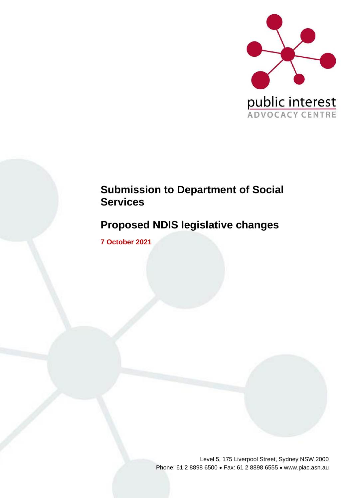

# **Submission to Department of Social Services**

# **Proposed NDIS legislative changes**

**7 October 2021**

Level 5, 175 Liverpool Street, Sydney NSW 2000 Phone: 61 2 8898 6500 • Fax: 61 2 8898 6555 • www.piac.asn.au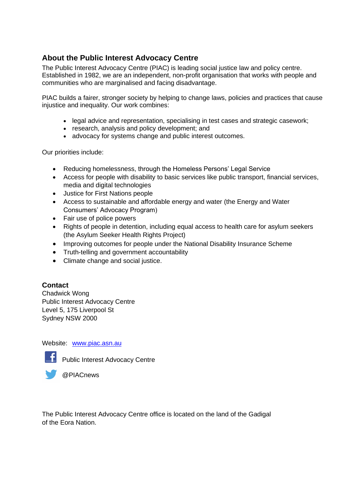## **About the Public Interest Advocacy Centre**

The Public Interest Advocacy Centre (PIAC) is leading social justice law and policy centre. Established in 1982, we are an independent, non-profit organisation that works with people and communities who are marginalised and facing disadvantage.

PIAC builds a fairer, stronger society by helping to change laws, policies and practices that cause injustice and inequality. Our work combines:

- legal advice and representation, specialising in test cases and strategic casework;
- research, analysis and policy development; and
- advocacy for systems change and public interest outcomes.

Our priorities include:

- Reducing homelessness, through the Homeless Persons' Legal Service
- Access for people with disability to basic services like public transport, financial services, media and digital technologies
- Justice for First Nations people
- Access to sustainable and affordable energy and water (the Energy and Water Consumers' Advocacy Program)
- Fair use of police powers
- Rights of people in detention, including equal access to health care for asylum seekers (the Asylum Seeker Health Rights Project)
- Improving outcomes for people under the National Disability Insurance Scheme
- Truth-telling and government accountability
- Climate change and social justice.

#### **Contact**

Chadwick Wong Public Interest Advocacy Centre Level 5, 175 Liverpool St Sydney NSW 2000

Website: [www.piac.asn.au](http://www.piac.asn.au/)



**Fig. 2** Public Interest Advocacy Centre



The Public Interest Advocacy Centre office is located on the land of the Gadigal of the Eora Nation.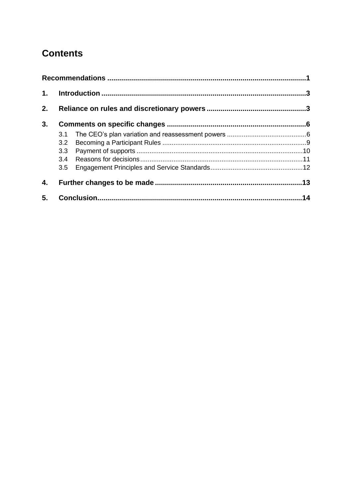# **Contents**

| $\mathbf 1$ . |     |  |     |
|---------------|-----|--|-----|
| 2.            |     |  |     |
| 3.            |     |  |     |
|               | 3.1 |  |     |
|               | 3.2 |  |     |
|               | 3.3 |  |     |
|               |     |  |     |
|               | 3.5 |  |     |
| 4.            |     |  |     |
| 5.            |     |  | .14 |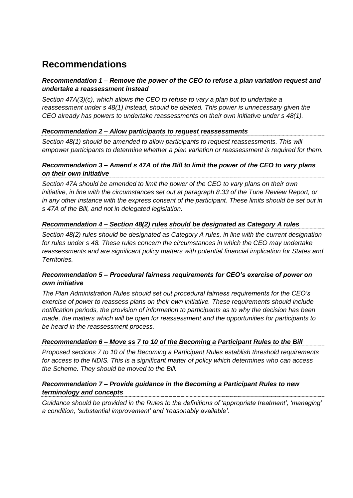# <span id="page-4-0"></span>**Recommendations**

#### *Recommendation 1 – Remove the power of the CEO to refuse a plan variation request and undertake a reassessment instead*

*Section 47A(3)(c), which allows the CEO to refuse to vary a plan but to undertake a reassessment under s 48(1) instead, should be deleted. This power is unnecessary given the CEO already has powers to undertake reassessments on their own initiative under s 48(1).*

#### *Recommendation 2 – Allow participants to request reassessments*

*Section 48(1) should be amended to allow participants to request reassessments. This will empower participants to determine whether a plan variation or reassessment is required for them.*

#### *Recommendation 3 – Amend s 47A of the Bill to limit the power of the CEO to vary plans on their own initiative*

*Section 47A should be amended to limit the power of the CEO to vary plans on their own initiative, in line with the circumstances set out at paragraph 8.33 of the Tune Review Report, or in any other instance with the express consent of the participant. These limits should be set out in s 47A of the Bill, and not in delegated legislation.*

#### *Recommendation 4 – Section 48(2) rules should be designated as Category A rules*

*Section 48(2) rules should be designated as Category A rules, in line with the current designation for rules under s 48. These rules concern the circumstances in which the CEO may undertake reassessments and are significant policy matters with potential financial implication for States and Territories.*

#### *Recommendation 5 – Procedural fairness requirements for CEO's exercise of power on own initiative*

*The Plan Administration Rules should set out procedural fairness requirements for the CEO's exercise of power to reassess plans on their own initiative. These requirements should include notification periods, the provision of information to participants as to why the decision has been made, the matters which will be open for reassessment and the opportunities for participants to be heard in the reassessment process.*

#### *Recommendation 6 – Move ss 7 to 10 of the Becoming a Participant Rules to the Bill*

*Proposed sections 7 to 10 of the Becoming a Participant Rules establish threshold requirements for access to the NDIS. This is a significant matter of policy which determines who can access the Scheme. They should be moved to the Bill.*

#### *Recommendation 7 – Provide guidance in the Becoming a Participant Rules to new terminology and concepts*

*Guidance should be provided in the Rules to the definitions of 'appropriate treatment', 'managing' a condition, 'substantial improvement' and 'reasonably available'.*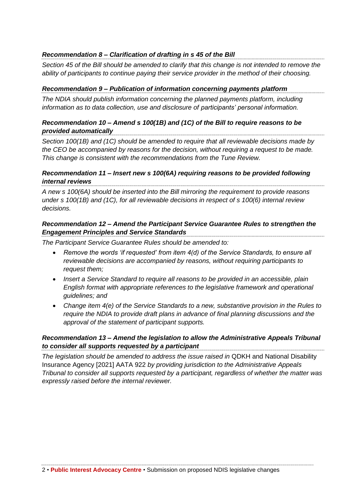#### *Recommendation 8 – Clarification of drafting in s 45 of the Bill*

*Section 45 of the Bill should be amended to clarify that this change is not intended to remove the ability of participants to continue paying their service provider in the method of their choosing.* 

#### *Recommendation 9 – Publication of information concerning payments platform*

*The NDIA should publish information concerning the planned payments platform, including information as to data collection, use and disclosure of participants' personal information.*

#### *Recommendation 10 – Amend s 100(1B) and (1C) of the Bill to require reasons to be provided automatically*

*Section 100(1B) and (1C) should be amended to require that all reviewable decisions made by the CEO be accompanied by reasons for the decision, without requiring a request to be made. This change is consistent with the recommendations from the Tune Review.*

#### *Recommendation 11 – Insert new s 100(6A) requiring reasons to be provided following internal reviews*

*A new s 100(6A) should be inserted into the Bill mirroring the requirement to provide reasons under s 100(1B) and (1C), for all reviewable decisions in respect of s 100(6) internal review decisions.* 

#### *Recommendation 12 – Amend the Participant Service Guarantee Rules to strengthen the Engagement Principles and Service Standards*

*The Participant Service Guarantee Rules should be amended to:*

- *Remove the words 'if requested' from item 4(d) of the Service Standards, to ensure all reviewable decisions are accompanied by reasons, without requiring participants to request them;*
- *Insert a Service Standard to require all reasons to be provided in an accessible, plain English format with appropriate references to the legislative framework and operational guidelines; and*
- *Change item 4(e) of the Service Standards to a new, substantive provision in the Rules to require the NDIA to provide draft plans in advance of final planning discussions and the approval of the statement of participant supports.*

#### *Recommendation 13 – Amend the legislation to allow the Administrative Appeals Tribunal to consider all supports requested by a participant*

*The legislation should be amended to address the issue raised in* QDKH and National Disability Insurance Agency [2021] AATA 922 *by providing jurisdiction to the Administrative Appeals Tribunal to consider all supports requested by a participant, regardless of whether the matter was expressly raised before the internal reviewer.*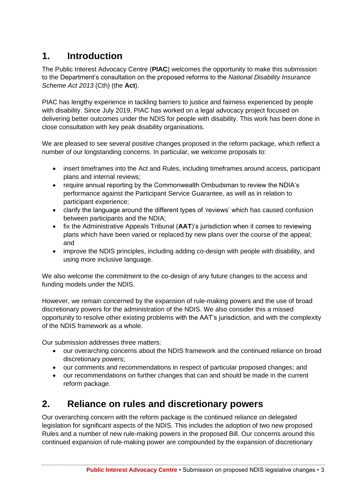## <span id="page-6-0"></span>**1. Introduction**

The Public Interest Advocacy Centre (**PIAC**) welcomes the opportunity to make this submission to the Department's consultation on the proposed reforms to the *National Disability Insurance Scheme Act 2013* (Cth) (the **Act**).

PIAC has lengthy experience in tackling barriers to justice and fairness experienced by people with disability. Since July 2019, PIAC has worked on a legal advocacy project focused on delivering better outcomes under the NDIS for people with disability. This work has been done in close consultation with key peak disability organisations.

We are pleased to see several positive changes proposed in the reform package, which reflect a number of our longstanding concerns. In particular, we welcome proposals to:

- insert timeframes into the Act and Rules, including timeframes around access, participant plans and internal reviews;
- require annual reporting by the Commonwealth Ombudsman to review the NDIA's performance against the Participant Service Guarantee, as well as in relation to participant experience;
- clarify the language around the different types of 'reviews' which has caused confusion between participants and the NDIA;
- fix the Administrative Appeals Tribunal (**AAT**)'s jurisdiction when it comes to reviewing plans which have been varied or replaced by new plans over the course of the appeal; and
- improve the NDIS principles, including adding co-design with people with disability, and using more inclusive language.

We also welcome the commitment to the co-design of any future changes to the access and funding models under the NDIS.

However, we remain concerned by the expansion of rule-making powers and the use of broad discretionary powers for the administration of the NDIS. We also consider this a missed opportunity to resolve other existing problems with the AAT's jurisdiction, and with the complexity of the NDIS framework as a whole.

Our submission addresses three matters:

- our overarching concerns about the NDIS framework and the continued reliance on broad discretionary powers;
- our comments and recommendations in respect of particular proposed changes; and
- our recommendations on further changes that can and should be made in the current reform package.

## <span id="page-6-1"></span>**2. Reliance on rules and discretionary powers**

Our overarching concern with the reform package is the continued reliance on delegated legislation for significant aspects of the NDIS. This includes the adoption of two new proposed Rules and a number of new rule-making powers in the proposed Bill. Our concerns around this continued expansion of rule-making power are compounded by the expansion of discretionary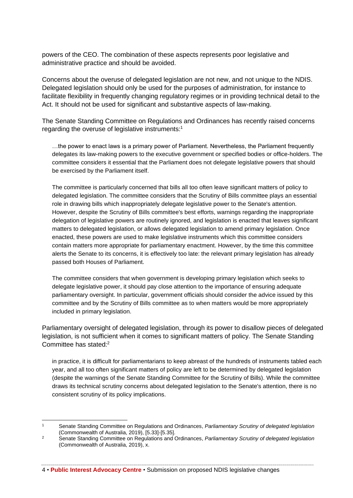powers of the CEO. The combination of these aspects represents poor legislative and administrative practice and should be avoided.

Concerns about the overuse of delegated legislation are not new, and not unique to the NDIS. Delegated legislation should only be used for the purposes of administration, for instance to facilitate flexibility in frequently changing regulatory regimes or in providing technical detail to the Act. It should not be used for significant and substantive aspects of law-making.

The Senate Standing Committee on Regulations and Ordinances has recently raised concerns regarding the overuse of legislative instruments: 1

…the power to enact laws is a primary power of Parliament. Nevertheless, the Parliament frequently delegates its law-making powers to the executive government or specified bodies or office-holders. The committee considers it essential that the Parliament does not delegate legislative powers that should be exercised by the Parliament itself.

The committee is particularly concerned that bills all too often leave significant matters of policy to delegated legislation. The committee considers that the Scrutiny of Bills committee plays an essential role in drawing bills which inappropriately delegate legislative power to the Senate's attention. However, despite the Scrutiny of Bills committee's best efforts, warnings regarding the inappropriate delegation of legislative powers are routinely ignored, and legislation is enacted that leaves significant matters to delegated legislation, or allows delegated legislation to amend primary legislation. Once enacted, these powers are used to make legislative instruments which this committee considers contain matters more appropriate for parliamentary enactment. However, by the time this committee alerts the Senate to its concerns, it is effectively too late: the relevant primary legislation has already passed both Houses of Parliament.

The committee considers that when government is developing primary legislation which seeks to delegate legislative power, it should pay close attention to the importance of ensuring adequate parliamentary oversight. In particular, government officials should consider the advice issued by this committee and by the Scrutiny of Bills committee as to when matters would be more appropriately included in primary legislation.

Parliamentary oversight of delegated legislation, through its power to disallow pieces of delegated legislation, is not sufficient when it comes to significant matters of policy. The Senate Standing Committee has stated:<sup>2</sup>

in practice, it is difficult for parliamentarians to keep abreast of the hundreds of instruments tabled each year, and all too often significant matters of policy are left to be determined by delegated legislation (despite the warnings of the Senate Standing Committee for the Scrutiny of Bills). While the committee draws its technical scrutiny concerns about delegated legislation to the Senate's attention, there is no consistent scrutiny of its policy implications.

4 • **Public Interest Advocacy Centre** • Submission on proposed NDIS legislative changes

<sup>1</sup> Senate Standing Committee on Regulations and Ordinances, *Parliamentary Scrutiny of delegated legislation* (Commonwealth of Australia, 2019), [5.33]-[5.35].

<sup>2</sup> Senate Standing Committee on Regulations and Ordinances, *Parliamentary Scrutiny of delegated legislation* (Commonwealth of Australia, 2019), x.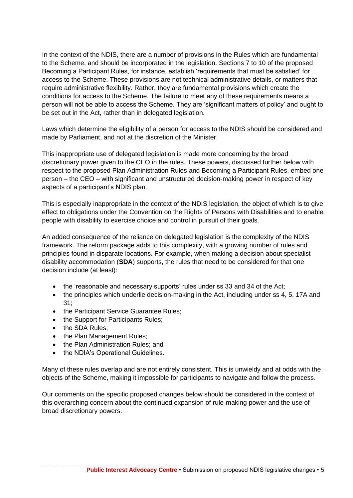In the context of the NDIS, there are a number of provisions in the Rules which are fundamental to the Scheme, and should be incorporated in the legislation. Sections 7 to 10 of the proposed Becoming a Participant Rules, for instance, establish 'requirements that must be satisfied' for access to the Scheme. These provisions are not technical administrative details, or matters that require administrative flexibility. Rather, they are fundamental provisions which create the conditions for access to the Scheme. The failure to meet any of these requirements means a person will not be able to access the Scheme. They are 'significant matters of policy' and ought to be set out in the Act, rather than in delegated legislation.

Laws which determine the eligibility of a person for access to the NDIS should be considered and made by Parliament, and not at the discretion of the Minister.

This inappropriate use of delegated legislation is made more concerning by the broad discretionary power given to the CEO in the rules. These powers, discussed further below with respect to the proposed Plan Administration Rules and Becoming a Participant Rules, embed one person – the CEO – with significant and unstructured decision-making power in respect of key aspects of a participant's NDIS plan.

This is especially inappropriate in the context of the NDIS legislation, the object of which is to give effect to obligations under the Convention on the Rights of Persons with Disabilities and to enable people with disability to exercise choice and control in pursuit of their goals.

An added consequence of the reliance on delegated legislation is the complexity of the NDIS framework. The reform package adds to this complexity, with a growing number of rules and principles found in disparate locations. For example, when making a decision about specialist disability accommodation (**SDA**) supports, the rules that need to be considered for that one decision include (at least):

- the 'reasonable and necessary supports' rules under ss 33 and 34 of the Act;
- the principles which underlie decision-making in the Act, including under ss 4, 5, 17A and 31;
- the Participant Service Guarantee Rules;
- the Support for Participants Rules;
- the SDA Rules;
- the Plan Management Rules;
- the Plan Administration Rules: and
- the NDIA's Operational Guidelines.

Many of these rules overlap and are not entirely consistent. This is unwieldy and at odds with the objects of the Scheme, making it impossible for participants to navigate and follow the process.

Our comments on the specific proposed changes below should be considered in the context of this overarching concern about the continued expansion of rule-making power and the use of broad discretionary powers.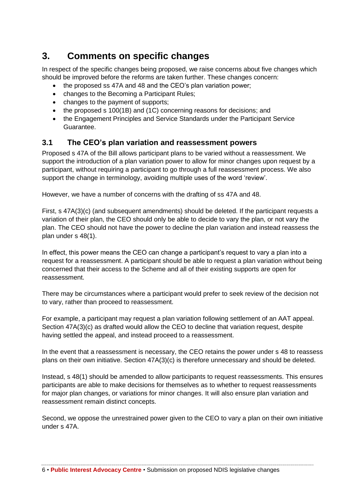## <span id="page-9-0"></span>**3. Comments on specific changes**

In respect of the specific changes being proposed, we raise concerns about five changes which should be improved before the reforms are taken further. These changes concern:

- the proposed ss 47A and 48 and the CEO's plan variation power;
- changes to the Becoming a Participant Rules;
- changes to the payment of supports;
- the proposed s 100(1B) and (1C) concerning reasons for decisions; and
- the Engagement Principles and Service Standards under the Participant Service Guarantee.

### <span id="page-9-1"></span>**3.1 The CEO's plan variation and reassessment powers**

Proposed s 47A of the Bill allows participant plans to be varied without a reassessment. We support the introduction of a plan variation power to allow for minor changes upon request by a participant, without requiring a participant to go through a full reassessment process. We also support the change in terminology, avoiding multiple uses of the word 'review'.

However, we have a number of concerns with the drafting of ss 47A and 48.

First, s 47A(3)(c) (and subsequent amendments) should be deleted. If the participant requests a variation of their plan, the CEO should only be able to decide to vary the plan, or not vary the plan. The CEO should not have the power to decline the plan variation and instead reassess the plan under s 48(1).

In effect, this power means the CEO can change a participant's request to vary a plan into a request for a reassessment. A participant should be able to request a plan variation without being concerned that their access to the Scheme and all of their existing supports are open for reassessment.

There may be circumstances where a participant would prefer to seek review of the decision not to vary, rather than proceed to reassessment.

For example, a participant may request a plan variation following settlement of an AAT appeal. Section 47A(3)(c) as drafted would allow the CEO to decline that variation request, despite having settled the appeal, and instead proceed to a reassessment.

In the event that a reassessment is necessary, the CEO retains the power under s 48 to reassess plans on their own initiative. Section 47A(3)(c) is therefore unnecessary and should be deleted.

Instead, s 48(1) should be amended to allow participants to request reassessments. This ensures participants are able to make decisions for themselves as to whether to request reassessments for major plan changes, or variations for minor changes. It will also ensure plan variation and reassessment remain distinct concepts.

Second, we oppose the unrestrained power given to the CEO to vary a plan on their own initiative under s 47A.

6 • **Public Interest Advocacy Centre** • Submission on proposed NDIS legislative changes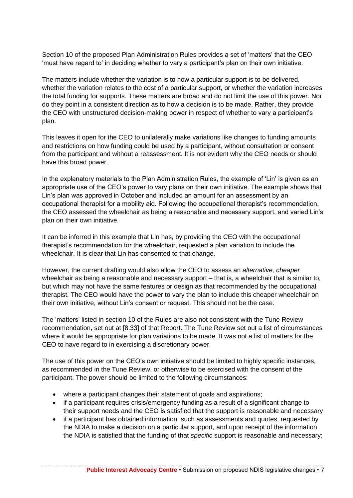Section 10 of the proposed Plan Administration Rules provides a set of 'matters' that the CEO 'must have regard to' in deciding whether to vary a participant's plan on their own initiative.

The matters include whether the variation is to how a particular support is to be delivered, whether the variation relates to the cost of a particular support, or whether the variation increases the total funding for supports. These matters are broad and do not limit the use of this power. Nor do they point in a consistent direction as to how a decision is to be made. Rather, they provide the CEO with unstructured decision-making power in respect of whether to vary a participant's plan.

This leaves it open for the CEO to unilaterally make variations like changes to funding amounts and restrictions on how funding could be used by a participant, without consultation or consent from the participant and without a reassessment. It is not evident why the CEO needs or should have this broad power.

In the explanatory materials to the Plan Administration Rules, the example of 'Lin' is given as an appropriate use of the CEO's power to vary plans on their own initiative. The example shows that Lin's plan was approved in October and included an amount for an assessment by an occupational therapist for a mobility aid. Following the occupational therapist's recommendation, the CEO assessed the wheelchair as being a reasonable and necessary support, and varied Lin's plan on their own initiative.

It can be inferred in this example that Lin has, by providing the CEO with the occupational therapist's recommendation for the wheelchair, requested a plan variation to include the wheelchair. It is clear that Lin has consented to that change.

However, the current drafting would also allow the CEO to assess an *alternative, cheaper* wheelchair as being a reasonable and necessary support – that is, a wheelchair that is similar to, but which may not have the same features or design as that recommended by the occupational therapist. The CEO would have the power to vary the plan to include this cheaper wheelchair on their own initiative, without Lin's consent or request. This should not be the case.

The 'matters' listed in section 10 of the Rules are also not consistent with the Tune Review recommendation, set out at [8.33] of that Report. The Tune Review set out a list of circumstances where it would be appropriate for plan variations to be made. It was not a list of matters for the CEO to have regard to in exercising a discretionary power.

The use of this power on the CEO's own initiative should be limited to highly specific instances, as recommended in the Tune Review, or otherwise to be exercised with the consent of the participant. The power should be limited to the following circumstances:

- where a participant changes their statement of goals and aspirations;
- if a participant requires crisis/emergency funding as a result of a significant change to their support needs and the CEO is satisfied that the support is reasonable and necessary
- if a participant has obtained information, such as assessments and quotes, requested by the NDIA to make a decision on a particular support, and upon receipt of the information the NDIA is satisfied that the funding of that *specific* support is reasonable and necessary;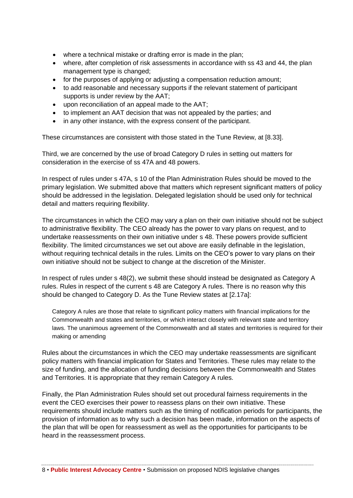- where a technical mistake or drafting error is made in the plan;
- where, after completion of risk assessments in accordance with ss 43 and 44, the plan management type is changed;
- for the purposes of applying or adjusting a compensation reduction amount;
- to add reasonable and necessary supports if the relevant statement of participant supports is under review by the AAT;
- upon reconciliation of an appeal made to the AAT;
- to implement an AAT decision that was not appealed by the parties; and
- in any other instance, with the express consent of the participant.

These circumstances are consistent with those stated in the Tune Review, at [8.33].

Third, we are concerned by the use of broad Category D rules in setting out matters for consideration in the exercise of ss 47A and 48 powers.

In respect of rules under s 47A, s 10 of the Plan Administration Rules should be moved to the primary legislation. We submitted above that matters which represent significant matters of policy should be addressed in the legislation. Delegated legislation should be used only for technical detail and matters requiring flexibility.

The circumstances in which the CEO may vary a plan on their own initiative should not be subject to administrative flexibility. The CEO already has the power to vary plans on request, and to undertake reassessments on their own initiative under s 48. These powers provide sufficient flexibility. The limited circumstances we set out above are easily definable in the legislation, without requiring technical details in the rules. Limits on the CEO's power to vary plans on their own initiative should not be subject to change at the discretion of the Minister.

In respect of rules under s 48(2), we submit these should instead be designated as Category A rules. Rules in respect of the current s 48 are Category A rules. There is no reason why this should be changed to Category D. As the Tune Review states at [2.17a]:

Category A rules are those that relate to significant policy matters with financial implications for the Commonwealth and states and territories, or which interact closely with relevant state and territory laws. The unanimous agreement of the Commonwealth and all states and territories is required for their making or amending

Rules about the circumstances in which the CEO may undertake reassessments are significant policy matters with financial implication for States and Territories. These rules may relate to the size of funding, and the allocation of funding decisions between the Commonwealth and States and Territories. It is appropriate that they remain Category A rules.

Finally, the Plan Administration Rules should set out procedural fairness requirements in the event the CEO exercises their power to reassess plans on their own initiative. These requirements should include matters such as the timing of notification periods for participants, the provision of information as to why such a decision has been made, information on the aspects of the plan that will be open for reassessment as well as the opportunities for participants to be heard in the reassessment process.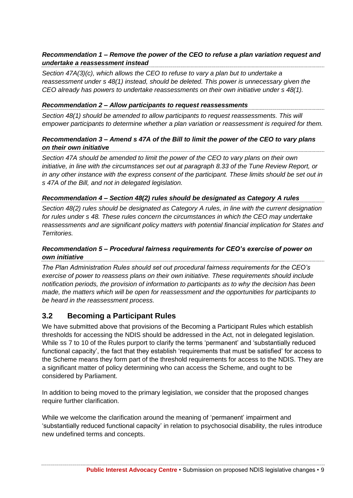#### *Recommendation 1 – Remove the power of the CEO to refuse a plan variation request and undertake a reassessment instead*

*Section 47A(3)(c), which allows the CEO to refuse to vary a plan but to undertake a reassessment under s 48(1) instead, should be deleted. This power is unnecessary given the CEO already has powers to undertake reassessments on their own initiative under s 48(1).*

#### *Recommendation 2 – Allow participants to request reassessments*

*Section 48(1) should be amended to allow participants to request reassessments. This will empower participants to determine whether a plan variation or reassessment is required for them.*

#### *Recommendation 3 – Amend s 47A of the Bill to limit the power of the CEO to vary plans on their own initiative*

*Section 47A should be amended to limit the power of the CEO to vary plans on their own*  initiative, in line with the circumstances set out at paragraph 8.33 of the Tune Review Report, or *in any other instance with the express consent of the participant. These limits should be set out in s 47A of the Bill, and not in delegated legislation.*

#### *Recommendation 4 – Section 48(2) rules should be designated as Category A rules*

*Section 48(2) rules should be designated as Category A rules, in line with the current designation for rules under s 48. These rules concern the circumstances in which the CEO may undertake reassessments and are significant policy matters with potential financial implication for States and Territories.*

#### *Recommendation 5 – Procedural fairness requirements for CEO's exercise of power on own initiative*

*The Plan Administration Rules should set out procedural fairness requirements for the CEO's exercise of power to reassess plans on their own initiative. These requirements should include notification periods, the provision of information to participants as to why the decision has been made, the matters which will be open for reassessment and the opportunities for participants to be heard in the reassessment process.*

### <span id="page-12-0"></span>**3.2 Becoming a Participant Rules**

We have submitted above that provisions of the Becoming a Participant Rules which establish thresholds for accessing the NDIS should be addressed in the Act, not in delegated legislation. While ss 7 to 10 of the Rules purport to clarify the terms 'permanent' and 'substantially reduced functional capacity', the fact that they establish 'requirements that must be satisfied' for access to the Scheme means they form part of the threshold requirements for access to the NDIS. They are a significant matter of policy determining who can access the Scheme, and ought to be considered by Parliament.

In addition to being moved to the primary legislation, we consider that the proposed changes require further clarification.

While we welcome the clarification around the meaning of 'permanent' impairment and 'substantially reduced functional capacity' in relation to psychosocial disability, the rules introduce new undefined terms and concepts.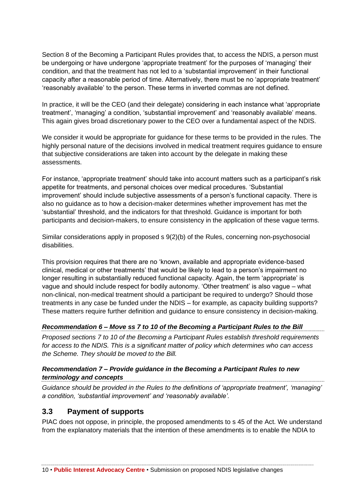Section 8 of the Becoming a Participant Rules provides that, to access the NDIS, a person must be undergoing or have undergone 'appropriate treatment' for the purposes of 'managing' their condition, and that the treatment has not led to a 'substantial improvement' in their functional capacity after a reasonable period of time. Alternatively, there must be no 'appropriate treatment' 'reasonably available' to the person. These terms in inverted commas are not defined.

In practice, it will be the CEO (and their delegate) considering in each instance what 'appropriate treatment', 'managing' a condition, 'substantial improvement' and 'reasonably available' means. This again gives broad discretionary power to the CEO over a fundamental aspect of the NDIS.

We consider it would be appropriate for guidance for these terms to be provided in the rules. The highly personal nature of the decisions involved in medical treatment requires guidance to ensure that subjective considerations are taken into account by the delegate in making these assessments.

For instance, 'appropriate treatment' should take into account matters such as a participant's risk appetite for treatments, and personal choices over medical procedures. 'Substantial improvement' should include subjective assessments of a person's functional capacity. There is also no guidance as to how a decision-maker determines whether improvement has met the 'substantial' threshold, and the indicators for that threshold. Guidance is important for both participants and decision-makers, to ensure consistency in the application of these vague terms.

Similar considerations apply in proposed s 9(2)(b) of the Rules, concerning non-psychosocial disabilities.

This provision requires that there are no 'known, available and appropriate evidence-based clinical, medical or other treatments' that would be likely to lead to a person's impairment no longer resulting in substantially reduced functional capacity. Again, the term 'appropriate' is vague and should include respect for bodily autonomy. 'Other treatment' is also vague – what non-clinical, non-medical treatment should a participant be required to undergo? Should those treatments in any case be funded under the NDIS – for example, as capacity building supports? These matters require further definition and guidance to ensure consistency in decision-making.

#### *Recommendation 6 – Move ss 7 to 10 of the Becoming a Participant Rules to the Bill*

*Proposed sections 7 to 10 of the Becoming a Participant Rules establish threshold requirements for access to the NDIS. This is a significant matter of policy which determines who can access the Scheme. They should be moved to the Bill.*

#### *Recommendation 7 – Provide guidance in the Becoming a Participant Rules to new terminology and concepts*

*Guidance should be provided in the Rules to the definitions of 'appropriate treatment', 'managing' a condition, 'substantial improvement' and 'reasonably available'.*

### <span id="page-13-0"></span>**3.3 Payment of supports**

PIAC does not oppose, in principle, the proposed amendments to s 45 of the Act. We understand from the explanatory materials that the intention of these amendments is to enable the NDIA to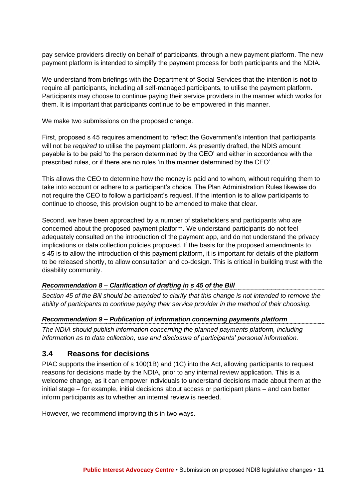pay service providers directly on behalf of participants, through a new payment platform. The new payment platform is intended to simplify the payment process for both participants and the NDIA.

We understand from briefings with the Department of Social Services that the intention is **not** to require all participants, including all self-managed participants, to utilise the payment platform. Participants may choose to continue paying their service providers in the manner which works for them. It is important that participants continue to be empowered in this manner.

We make two submissions on the proposed change.

First, proposed s 45 requires amendment to reflect the Government's intention that participants will not be *required* to utilise the payment platform. As presently drafted, the NDIS amount payable is to be paid 'to the person determined by the CEO' and either in accordance with the prescribed rules, or if there are no rules 'in the manner determined by the CEO'.

This allows the CEO to determine how the money is paid and to whom, without requiring them to take into account or adhere to a participant's choice. The Plan Administration Rules likewise do not require the CEO to follow a participant's request. If the intention is to allow participants to continue to choose, this provision ought to be amended to make that clear.

Second, we have been approached by a number of stakeholders and participants who are concerned about the proposed payment platform. We understand participants do not feel adequately consulted on the introduction of the payment app, and do not understand the privacy implications or data collection policies proposed. If the basis for the proposed amendments to s 45 is to allow the introduction of this payment platform, it is important for details of the platform to be released shortly, to allow consultation and co-design. This is critical in building trust with the disability community.

#### *Recommendation 8 – Clarification of drafting in s 45 of the Bill*

*Section 45 of the Bill should be amended to clarify that this change is not intended to remove the ability of participants to continue paying their service provider in the method of their choosing.* 

#### *Recommendation 9 – Publication of information concerning payments platform*

*The NDIA should publish information concerning the planned payments platform, including information as to data collection, use and disclosure of participants' personal information.*

#### <span id="page-14-0"></span>**3.4 Reasons for decisions**

PIAC supports the insertion of s 100(1B) and (1C) into the Act, allowing participants to request reasons for decisions made by the NDIA, prior to any internal review application. This is a welcome change, as it can empower individuals to understand decisions made about them at the initial stage – for example, initial decisions about access or participant plans – and can better inform participants as to whether an internal review is needed.

However, we recommend improving this in two ways.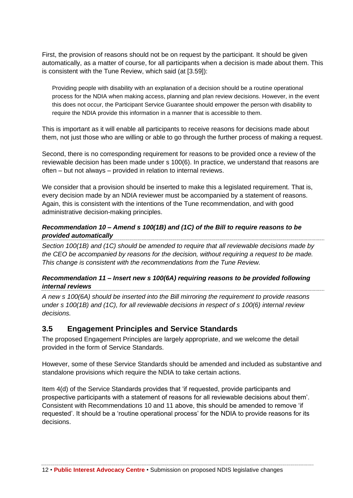First, the provision of reasons should not be on request by the participant. It should be given automatically, as a matter of course, for all participants when a decision is made about them. This is consistent with the Tune Review, which said (at [3.59]):

Providing people with disability with an explanation of a decision should be a routine operational process for the NDIA when making access, planning and plan review decisions. However, in the event this does not occur, the Participant Service Guarantee should empower the person with disability to require the NDIA provide this information in a manner that is accessible to them.

This is important as it will enable all participants to receive reasons for decisions made about them, not just those who are willing or able to go through the further process of making a request.

Second, there is no corresponding requirement for reasons to be provided once a review of the reviewable decision has been made under s 100(6). In practice, we understand that reasons are often – but not always – provided in relation to internal reviews.

We consider that a provision should be inserted to make this a legislated requirement. That is, every decision made by an NDIA reviewer must be accompanied by a statement of reasons. Again, this is consistent with the intentions of the Tune recommendation, and with good administrative decision-making principles.

#### *Recommendation 10 – Amend s 100(1B) and (1C) of the Bill to require reasons to be provided automatically*

*Section 100(1B) and (1C) should be amended to require that all reviewable decisions made by the CEO be accompanied by reasons for the decision, without requiring a request to be made. This change is consistent with the recommendations from the Tune Review.*

#### *Recommendation 11 – Insert new s 100(6A) requiring reasons to be provided following internal reviews*

*A new s 100(6A) should be inserted into the Bill mirroring the requirement to provide reasons under s 100(1B) and (1C), for all reviewable decisions in respect of s 100(6) internal review decisions.* 

### <span id="page-15-0"></span>**3.5 Engagement Principles and Service Standards**

The proposed Engagement Principles are largely appropriate, and we welcome the detail provided in the form of Service Standards.

However, some of these Service Standards should be amended and included as substantive and standalone provisions which require the NDIA to take certain actions.

Item 4(d) of the Service Standards provides that 'if requested, provide participants and prospective participants with a statement of reasons for all reviewable decisions about them'. Consistent with Recommendations 10 and 11 above, this should be amended to remove 'if requested'. It should be a 'routine operational process' for the NDIA to provide reasons for its decisions.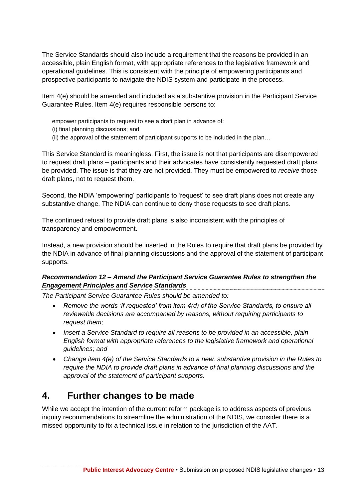The Service Standards should also include a requirement that the reasons be provided in an accessible, plain English format, with appropriate references to the legislative framework and operational guidelines. This is consistent with the principle of empowering participants and prospective participants to navigate the NDIS system and participate in the process.

Item 4(e) should be amended and included as a substantive provision in the Participant Service Guarantee Rules. Item 4(e) requires responsible persons to:

- empower participants to request to see a draft plan in advance of:
- (i) final planning discussions; and
- (ii) the approval of the statement of participant supports to be included in the plan…

This Service Standard is meaningless. First, the issue is not that participants are disempowered to request draft plans – participants and their advocates have consistently requested draft plans be provided. The issue is that they are not provided. They must be empowered to *receive* those draft plans, not to request them.

Second, the NDIA 'empowering' participants to 'request' to see draft plans does not create any substantive change. The NDIA can continue to deny those requests to see draft plans.

The continued refusal to provide draft plans is also inconsistent with the principles of transparency and empowerment.

Instead, a new provision should be inserted in the Rules to require that draft plans be provided by the NDIA in advance of final planning discussions and the approval of the statement of participant supports.

#### *Recommendation 12 – Amend the Participant Service Guarantee Rules to strengthen the Engagement Principles and Service Standards*

*The Participant Service Guarantee Rules should be amended to:*

- *Remove the words 'if requested' from item 4(d) of the Service Standards, to ensure all reviewable decisions are accompanied by reasons, without requiring participants to request them;*
- *Insert a Service Standard to require all reasons to be provided in an accessible, plain English format with appropriate references to the legislative framework and operational guidelines; and*
- *Change item 4(e) of the Service Standards to a new, substantive provision in the Rules to require the NDIA to provide draft plans in advance of final planning discussions and the approval of the statement of participant supports.*

## <span id="page-16-0"></span>**4. Further changes to be made**

While we accept the intention of the current reform package is to address aspects of previous inquiry recommendations to streamline the administration of the NDIS, we consider there is a missed opportunity to fix a technical issue in relation to the jurisdiction of the AAT.